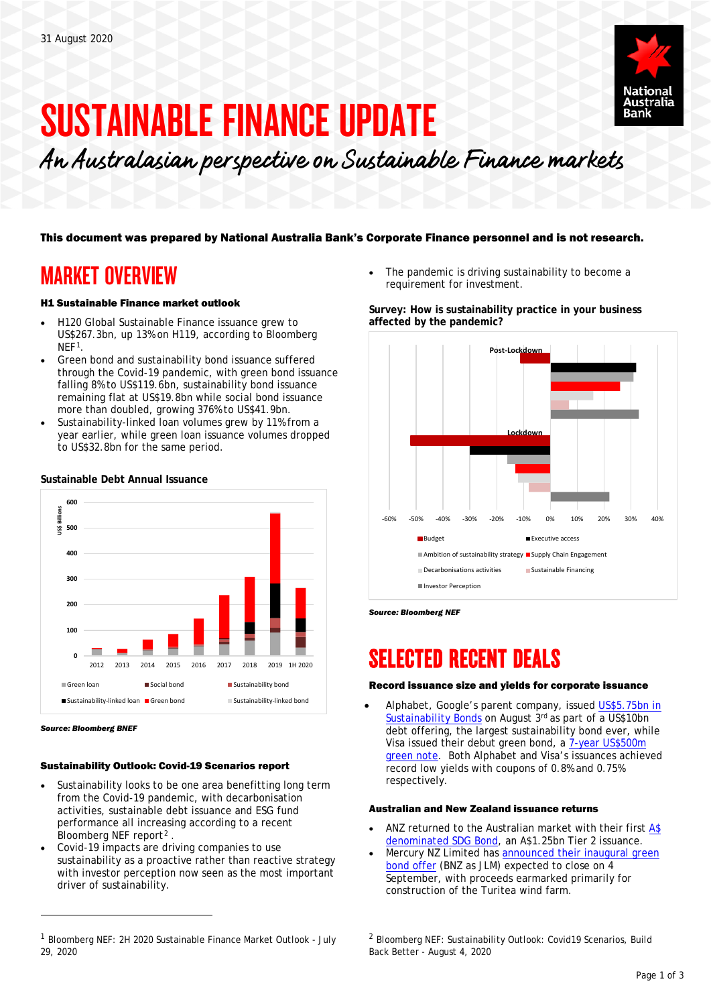

# SUSTAINABLE FINANCE UPDATE

An Australasian perspective on Sustainable Finance markets

### This document was prepared by National Australia Bank's Corporate Finance personnel and is not research.

## MARKET OVERVIEW

#### H1 Sustainable Finance market outlook

- H120 Global Sustainable Finance issuance grew to US\$267.3bn, up 13% on H119, according to Bloomberg NEF<sup>[1](#page-0-0)</sup>.
- Green bond and sustainability bond issuance suffered through the Covid-19 pandemic, with green bond issuance falling 8% to US\$119.6bn, sustainability bond issuance remaining flat at US\$19.8bn while social bond issuance more than doubled, growing 376% to US\$41.9bn.
- Sustainability-linked loan volumes grew by 11% from a year earlier, while green loan issuance volumes dropped to US\$32.8bn for the same period.



#### **Sustainable Debt Annual Issuance**

l

#### Sustainability Outlook: Covid-19 Scenarios report

- Sustainability looks to be one area benefitting long term from the Covid-19 pandemic, with decarbonisation activities, sustainable debt issuance and ESG fund performance all increasing according to a recent Bloomberg NEF report<sup>[2](#page-0-0)</sup>.
- Covid-19 impacts are driving companies to use sustainability as a proactive rather than reactive strategy with investor perception now seen as the most important driver of sustainability.

The pandemic is driving sustainability to become a requirement for investment.

#### **Survey: How is sustainability practice in your business affected by the pandemic?**



*Source: Bloomberg NEF* 

## SELECTED RECENT DEALS

#### Record issuance size and yields for corporate issuance

• Alphabet, Google's parent company, issued [US\\$5.75bn in](https://blog.google/alphabet/alphabet-issues-sustainability-bonds-support-environmental-and-social-initiatives/)  [Sustainability Bonds](https://blog.google/alphabet/alphabet-issues-sustainability-bonds-support-environmental-and-social-initiatives/) on August 3rd as part of a US\$10bn debt offering, the largest sustainability bond ever, while Visa issued their debut green bond, a [7-year US\\$500m](https://www.bloomberg.com/news/articles/2020-08-10/visa-debuts-consumer-finance-sector-s-green-dollar-bonds)  [green note.](https://www.bloomberg.com/news/articles/2020-08-10/visa-debuts-consumer-finance-sector-s-green-dollar-bonds) Both Alphabet and Visa's issuances achieved record low yields with coupons of 0.8% and 0.75% respectively.

#### Australian and New Zealand issuance returns

- ANZ returned to the Australian market with their first A\$ [denominated SDG Bond,](https://media.anz.com/posts/2020/08/anz-first-bank-to-issue-sustainable-development-goal-bond-in-aus?adobe_mc=MCMID%3D30223470963433765662281243086188492858%7CMCAID%3D2F2C535285158A62-600007FBA4586DDE%7CMCORGID%3D67A216D751E567B20A490D4C%2540AdobeOrg%7CTS%3D1598411383) an A\$1.25bn Tier 2 issuance.
- Mercury NZ Limited has announced their inaugural green [bond offer](https://www.mercury.co.nz/investors/bonds/green-bonds?_nb_c_u=c2L3jtEQJpIDW%2fjwaW%2fY9aJMeWTWIqJlnVcxgNfIlfcC6czjNkQ8uacJp0MFvY3ktWiyUtDME7sLAAAAAQ%3d%3d#:%7E:text=Green%20Bonds.%20Mercury%20has%20announced%20an%20offer%20of,bonds%20to%20institutional%20and%20New%20Zealand%20retail%20investors.) (BNZ as JLM) expected to close on 4 September, with proceeds earmarked primarily for construction of the Turitea wind farm.

*Source: Bloomberg BNEF*

<span id="page-0-0"></span><sup>1</sup> Bloomberg NEF: 2H 2020 Sustainable Finance Market Outlook - July 29, 2020

<sup>2</sup> Bloomberg NEF: Sustainability Outlook: Covid19 Scenarios, Build Back Better - August 4, 2020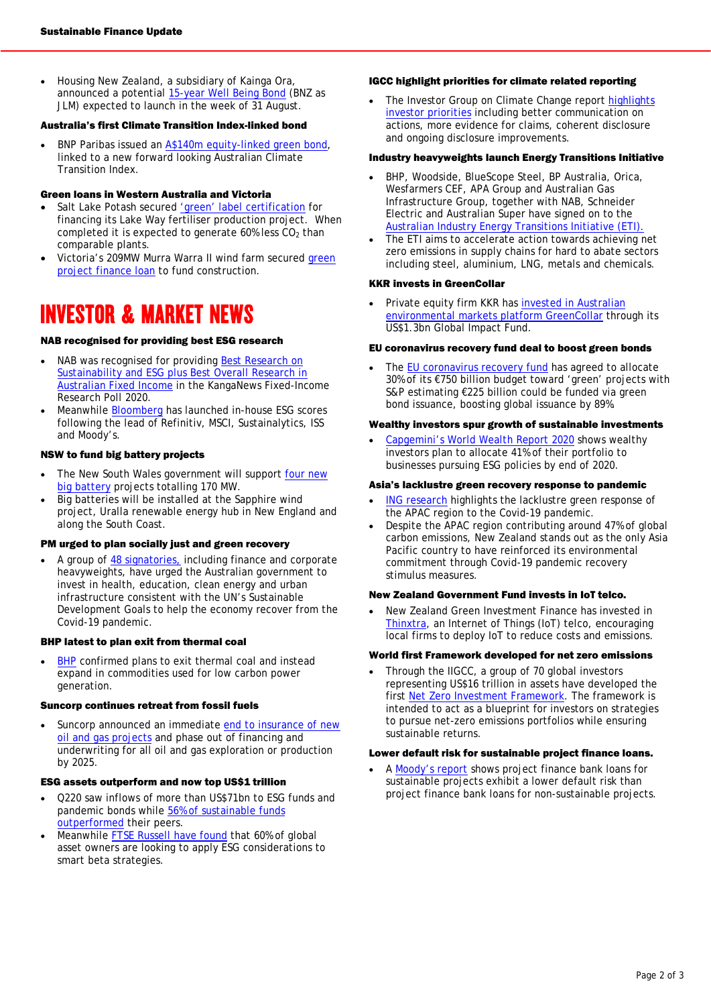• Housing New Zealand, a subsidiary of Kainga Ora, announced a potential [15-year Well Being Bond](http://www.kanganews.com/news/12170-kainga-ora-planning-15-year-wellbeing-bond) (BNZ as JLM) expected to launch in the week of 31 August.

#### Australia's first Climate Transition Index-linked bond

• BNP Paribas issued an [A\\$140m equity-linked green bond,](https://www.cefc.com.au/media/media-release/cefc-backs-equity-linked-green-bond-to-support-unique-australian-climate-transition-index/) linked to a new forward looking Australian Climate Transition Index.

#### Green loans in Western Australia and Victoria

- Salt Lake Potash secured ['green' label certification](https://www.asx.com.au/asxpdf/20200713/pdf/44kgkf96g0rtsy.pdf) for financing its Lake Way fertiliser production project. When completed it is expected to generate  $60\%$  less  $CO<sub>2</sub>$  than comparable plants.
- Victoria's 209MW Murra Warra II wind farm secured [green](https://www.environmental-finance.com/content/news/green-and-sustainability-linked-loan-round-up-swire-properties-adecoagro-murra-wara-ii.html)  [project finance loan](https://www.environmental-finance.com/content/news/green-and-sustainability-linked-loan-round-up-swire-properties-adecoagro-murra-wara-ii.html) to fund construction.

## INVESTOR & MARKET NEWS

#### NAB recognised for providing best ESG research

- NAB was recognised for providing Best Research on Sustainability and ESG plus Best Overall Research in [Australian Fixed Income](http://www.kanganews.com/news/12053-kanganews-fixed-income-research-poll-2020-results-announced) in the KangaNews Fixed-Income Research Poll 2020.
- Meanwhile [Bloomberg](https://www.bloomberg.com/company/press/bloomberg-launches-proprietary-esg-scores/) has launched in-house ESG scores following the lead of Refinitiv, MSCI, Sustainalytics, ISS and Moody's.

#### NSW to fund big battery projects

- The New South Wales government will support four new [big battery](https://energy.nsw.gov.au/renewables/clean-energy-initiatives/emerging-energy-program) projects totalling 170 MW.
- Big batteries will be installed at the Sapphire wind project, Uralla renewable energy hub in New England and along the South Coast.

#### PM urged to plan socially just and green recovery

• A group of [48 signatories,](https://unglobalcompact.org.au/call-on-federal-government-to-use-the-sdgs-as-a-framework-for-economic-recovery/) including finance and corporate heavyweights, have urged the Australian government to invest in health, education, clean energy and urban infrastructure consistent with the UN's Sustainable Development Goals to help the economy recover from the Covid-19 pandemic.

#### BHP latest to plan exit from thermal coal

**[BHP](https://www.ft.com/content/82c407a4-4bef-447f-b581-038278b28ff8)** confirmed plans to exit thermal coal and instead expand in commodities used for low carbon power generation.

#### Suncorp continues retreat from fossil fuels

Suncorp announced an immediate [end to insurance of](https://www.suncorpgroup.com.au/announcements-pdf/1382197) new [oil and gas projects](https://www.suncorpgroup.com.au/announcements-pdf/1382197) and phase out of financing and underwriting for all oil and gas exploration or production by 2025.

#### ESG assets outperform and now top US\$1 trillion

- Q220 saw inflows of more than US\$71bn to ESG funds and pandemic bonds while [56% of sustainable funds](https://www.bloomberg.com/news/articles/2020-08-12/long-term-investors-now-hold-more-sway-over-esg-green-insight?sref=CQIgrqYs)  [outperformed](https://www.bloomberg.com/news/articles/2020-08-12/long-term-investors-now-hold-more-sway-over-esg-green-insight?sref=CQIgrqYs) their peers.
- Meanwhile [FTSE Russell have found](https://esgclarity.com/ftse-russell-research-august-2020/) that 60% of global asset owners are looking to apply ESG considerations to smart beta strategies.

#### IGCC highlight priorities for climate related reporting

The Investor Group on Climate Change report highlights [investor priorities](https://igcc.org.au/wp-content/uploads/2020/08/IGCCReport_Full-Disclosure_FINAL.pdf?mc_cid=5f67b8cd90&mc_eid=5c8e03ea38&) including better communication on actions, more evidence for claims, coherent disclosure and ongoing disclosure improvements.

#### Industry heavyweights launch Energy Transitions Initiative

- BHP, Woodside, BlueScope Steel, BP Australia, Orica, Wesfarmers CEF, APA Group and Australian Gas Infrastructure Group, together with NAB, Schneider Electric and Australian Super have signed on to the [Australian Industry Energy Transitions Initiative \(ETI\).](https://energytransitionsinitiative.org/wp-content/uploads/2020/08/Media-Release-Australian-Industry-ETI-announcement-Monday-27-July-2020.pdf)
- The ETI aims to accelerate action towards achieving net zero emissions in supply chains for hard to abate sectors including steel, aluminium, LNG, metals and chemicals.

#### KKR invests in GreenCollar

Private equity firm KKR has invested in Australian [environmental markets platform GreenCollar](https://media.kkr.com/rss-feed/news-release/?news_id=ff28ad6b-9885-4b2b-baac-452ca9b6e19b) through its US\$1.3bn Global Impact Fund.

#### EU coronavirus recovery fund deal to boost green bonds

The [EU coronavirus recovery fund](https://www.environmental-finance.com/content/analysis/eu-recovery-fund-deal-could-boost-green-bond-market-s-and-p.html) has agreed to allocate 30% of its €750 billion budget toward 'green' projects with S&P estimating €225 billion could be funded via green bond issuance, boosting global issuance by 89%.

#### Wealthy investors spur growth of sustainable investments

• [Capgemini's World Wealth Report 2020](https://worldwealthreport.com/) shows wealthy investors plan to allocate 41% of their portfolio to businesses pursuing ESG policies by end of 2020.

#### Asia's lacklustre green recovery response to pandemic

- [ING research](https://think.ing.com/uploads/reports/Asias_green_response_100820_AOT.pdf) highlights the lacklustre green response of the APAC region to the Covid-19 pandemic.
- Despite the APAC region contributing around 47% of global carbon emissions, New Zealand stands out as the only Asia Pacific country to have reinforced its environmental commitment through Covid-19 pandemic recovery stimulus measures.

#### New Zealand Government Fund invests in IoT telco.

• New Zealand Green Investment Finance has invested in [Thinxtra,](https://businessdesk.co.nz/article/govt-fund-takes-a1m-stake-in-thinxtra?) an Internet of Things (IoT) telco, encouraging local firms to deploy IoT to reduce costs and emissions.

#### World first Framework developed for net zero emissions

• Through the IIGCC, a group of 70 global investors representing US\$16 trillion in assets have developed the first [Net Zero Investment Framework.](https://www.iigcc.org/news/16-trillion-investors-develop-first-ever-framework-for-net-zero-investing/) The framework is intended to act as a blueprint for investors on strategies to pursue net-zero emissions portfolios while ensuring sustainable returns.

#### Lower default risk for sustainable project finance loans.

A [Moody's report](https://www.moodys.com/research/Moodys-Sustainable-project-finance-bank-loans-demonstrate-lower-default-risk--PBC_1241719) shows project finance bank loans for sustainable projects exhibit a lower default risk than project finance bank loans for non-sustainable projects.